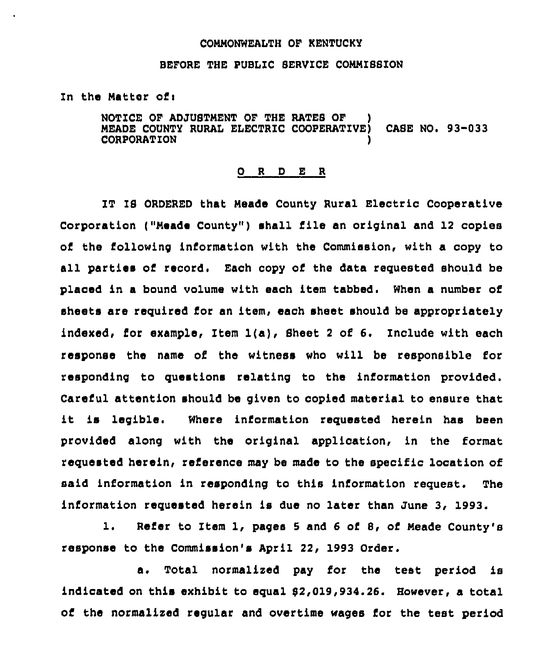## CONNONWEALTH OF KENTUCKY

## BEFORE THE PUBLIC SERVICE COMMISSION

In the Matter of <sup>i</sup>

NOTICE OF ADJUSTMENT OF THE RATES OF ) HEADE COUNTY RURAL ELECTRIC COOPERATIVE) CASE NO. 93-033 **CORPORATION** 

## 0 <sup>R</sup> <sup>D</sup> E <sup>R</sup>

IT IS ORDERED that Meade County Rural Electric Cooperative Corporation ("Meade County") shall file an original and 12 copies of the following information with the Commission, with a copy to all parties of record. Each copy of the data requested should be placed in a bound volume with each item tabbed. When a number of sheets are required for an item, each sheet should be appropriately indexed, for example, Item 1(a), Sheet <sup>2</sup> of 6. Include with each response the name of the witness who will be responsible for responding to questions relating to the information provided. Careful attention should be given to copied material to ensure that it is legible. Where information requested herein has been provided along with the original application, in the format requested herein, reference may be made to the specific location of said information in responding to this information request. The information requested herein is due no later than June 3, 1993.

1. Refer to Item 1, pages 5 and 6 of 8, of Meade County's response to the Commission's April 22, 1993 Order.

a. Total normalized pay for the test period is indicated on this exhibit to equal 62,019,934.26. However, a total of the normalized regular and overtime wages for the test period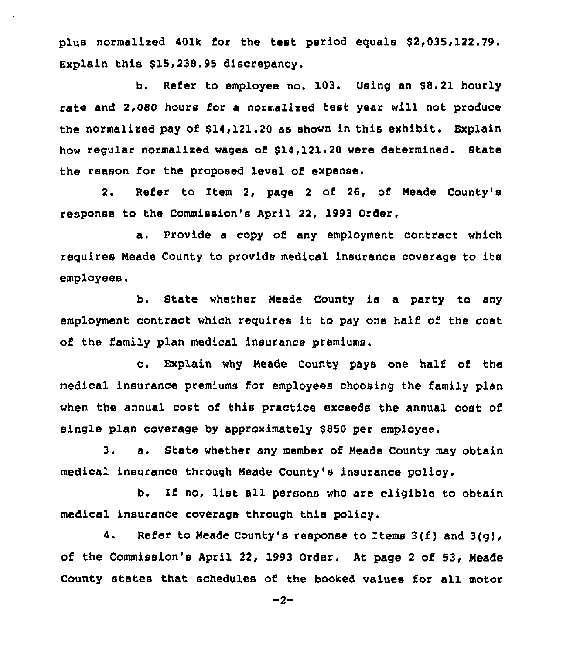plus normalized 401k for the test period equals \$2,035,122.79. Explain this \$15,238.95 discrepancy.

b. Refer to employee no. 103. Using an \$8.21 hourly rate and 2,080 hours for a normalized test year will not produce the normalised pay of \$14,121.20 as shown in this exhibit. Explain how regular normalised wages of \$14,121.20 were determined. State the reason for the proposed level of expense.

2. Refer to Item 2, page <sup>2</sup> of 26, of. Neade County's response to the Commission's April 22, 1993 Order,

a. Provide a copy of any employment contract which requires Neade County to provide medical insurance coverage to its employees.

b. State whether Meade County is a party to any employment contract which requires it to pay one half of the cost of the family plan medical insurance premiums.

c. Explain why Meade County pays one half of the medical insurance premiums for employees choosing the family plan when the annual cost of this practice exceeds the annual cost of single plan coverage by approximately \$850 per employee.

3. a. State whether any member of Neade County may obtain medical insurance through Neade County's insurance policy.

b. Zf no, list all persons who are eligible to obtain medical insurance coverage through this policy.

4. Refer to Meade County's response to Items  $3(f)$  and  $3(q)$ , of the Commission's April 22, 1993 Order. At page <sup>2</sup> of 53, Neade County states that schedules of the booked values for all motor

 $-2-$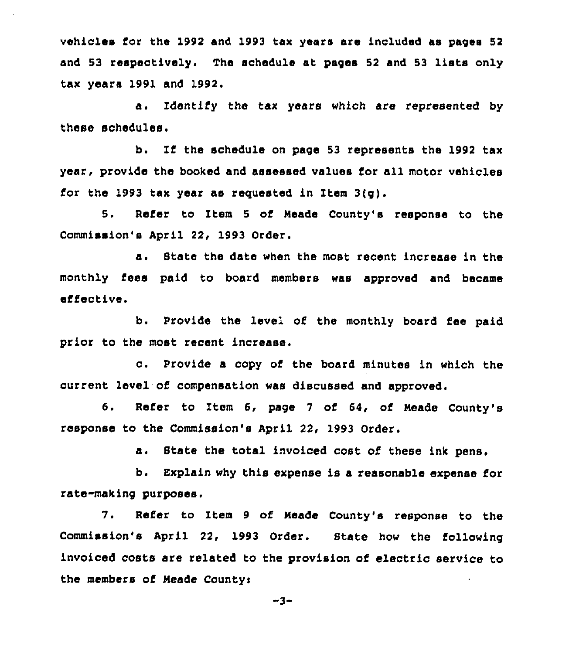vehicles for the 1992 and 1993 tax years are included as pages 52 and 53 respectively. The schedule at pages <sup>52</sup> and 53 lists only tax years 1991 and 1992.

a. Identify the tax years which are represented by these schedules.

b. If the schedule on page <sup>53</sup> represents the 1992 tax year, provide the booked and assessed values for all motor vehicles for the 1993 tax year as requested in Item 3(g).

5. Refer to Item <sup>5</sup> of Meade County's response to the Commission's April 22, 1993 Order.

a. State the date when the most recent increase in the monthly fees paid to board members was approved and became effective.

b. Provide the level of the monthly board fee paid prior to the most recent increase,

c. Provide <sup>a</sup> copy of the board minutes in which the current level of compensation was discussed and approved.

6. Refer to Item 6, page 7 of 64, of Meade County's response to the Commission's April 22, 1993 Order.

a. State the total invoiced cost of these ink pens.

b. Explain why this expense is a reasonable expense for rate-making purposes.

7. Refer to Item 9 of Meade County's response to the Commission's April 22, 1993 Order. State how the following invoiced costs are related to the provision of electric service to the members of Neade Countys

-3-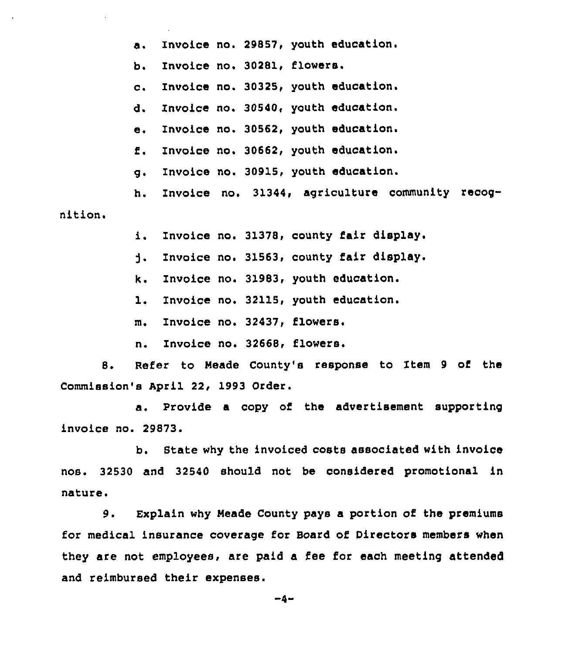a. Invoice no. 298S7, youth education.

b. Invoice no. 30281, flowers.

c. Invoice no. 30325, youth education.

d. Invoice no. 30540, youth education.

e. Invoice no. 30562, youth education.

f. Invoice no. 30662, youth education.

g. Invoice no. 30915, youth education.

h. Invoice no. 31344, agriculture community recog-

nition.

i. Invoice no. 31378, county fair display.

Invoice no. 31563, county fair display. j.

k. Invoice no. 31983, youth education.

1. Invoice no. 32115, youth education.

m. Invoice no. 32437, flowers.

n. Invoice no. 32668, flowers.

8. Refer to Meade County's response to Item <sup>9</sup> of the Commission's April 22, 1993 Order.

a. Provide a copy of the advertisement supporting invoice no. 29873.

b. Btate why the invoiced costs associated with invoice nos. 32530 and 32540 should not be considered promotional in nature.

9. Explain why Neade County pays a portion of the premiums for medical insurance coverage for Board of Directors members when they are not employees, are paid a fee for each meeting attended and reimbursed their expenses.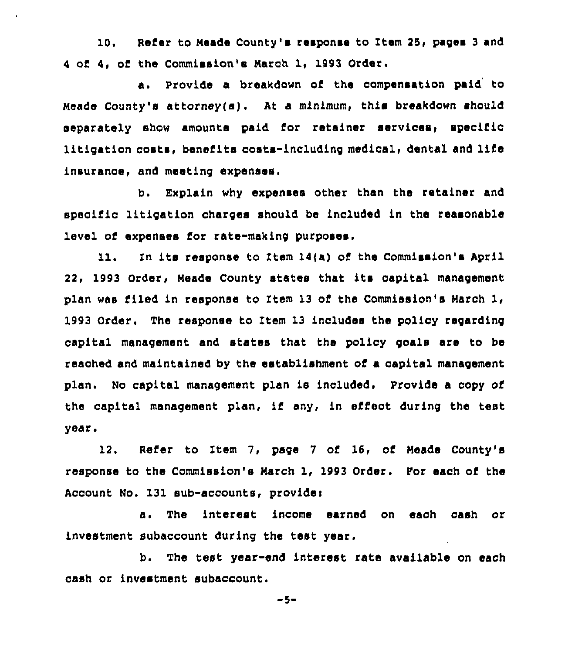10. Refer to Meade County's response to Item 25, pages 3 and <sup>4</sup> of 4, of the Commission'a March 1, 1993 Order.

a. Provide a breakdown of the compensation paid to Meade County's attorney(s). At a minimum, this breakdown should separately show amounts paid for retainer services, specific litigation costs, benefits costs-including medical, dental and life insurance, and meeting expenses.

b. Explain why expenses other than the retainer and specific litigation charges should be included in the reasonable level of expenses for rate-making purposes.

11. In its response to Item  $14(a)$  of the Commission's April 22, 1993 Order, Neade County states that its capital management plan was filed in response to Item 13 of the Commission's March 1, 1993 Order. The response to Item 13 includes the policy regarding capital management and states that the policy goals are to be reached and maintained by the establishment of a capital management plan. No capital management plan is included. Provide a copy of the capital management plan, if any, in effect during the test year.

12. Refer to Item 7, page 7 of 16, of Meade County's response to the Commission's March 1, 1993 Order. For each of the Account No. 131 sub-accounts, providei

a. The interest income earned on each cash or investment subaccount during the test year.

b. The test year-end interest rate available on each cash or investment subaccount.

 $-5-$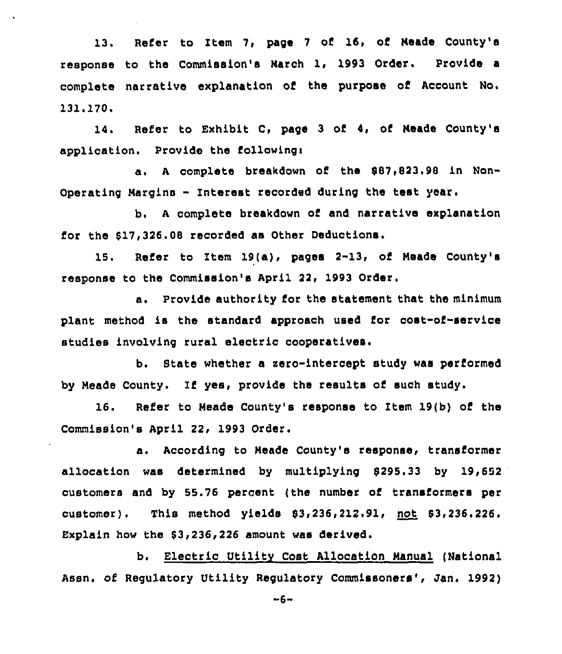13. Refer to Item 7, page 7 of 16, of Neade County's response to the Commission's Narch 1, 1993 Order. Provide a complete narrative explanation of the purpose of Account No. 131.170.

14. Refer to Exhibit C, page 3 of 4, of Neade County's application. Provide the followingi

a. A complete breakdown of the \$87,823.98 in Non-Operating Nargins - Interest recorded during the test year.

b. <sup>A</sup> complete breakdown of and narrative explanation for the 817,326.08 recorded as Other Deductions.

15. Refer to Item 19(a), pages 2-13, of Neade County's response to the Commission's April 22, 1993 Order.

a, Provide authority for the statement that the minimum plant method is the standard approaoh used for oost-of-service studies involving rural electric cooperatives.

b. State whether a sero-intercept study was performed by Meade County. If yes, provide the results of such study.

16. Refer to Neade County's response to Item 19(b) of the Commission's April 22, 1993 Order.

a. According to Meade County's response, transformer allocation was determined by multiplying 8295.33 by 19,652 customers and by 55.76 percent (the number of transformers per customer). This method yields \$3,236,212.91, not \$3,236.226. Explain how the 63,236,226 amount was derived.

b. Electric Utility Cost Allocation Nanual (National Assn. of Regulatory Utility Regulatory Commissoners', Jan. 1992)

-6-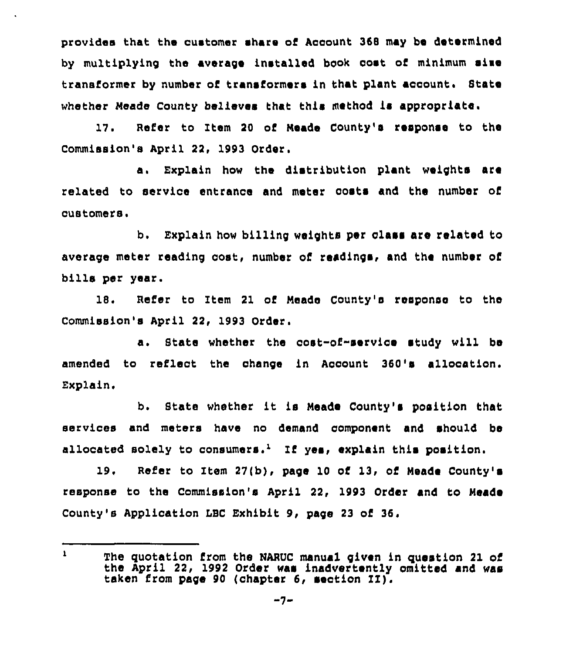provides that the customer share of Account 368 may be determined by multiplying the average installed book cost of minimum sime transformer by number of transformers in that plant account. State whether Meade County believes that this method is appropriate.

17. Refer to Item 20 of Neade County's response to the Commission's April 22, 1993 Order.

a. Explain how the distribution plant weights are related to service entranoe and meter costa and the number of customers.

b. Explain how billing weights per class are related to average meter reading cost, number of readings, and the number of bills per year.

18. Refer to Item 21 of Meade County's response to the Commission's April 22, 1993 Order.

a. State whether the cost-of-service study will be amended to reflect the change in Account 360's allocation. Explain.

b. State whether it is Meade County's position that services and meters have no demand component and should be allocated solely to consumers.<sup>1</sup> If yes, explain this position.

19. Refer to Item 27(b), page 10 of 13, of Neade County' response to the Commission's April 22, 1993 Order and to Meade County's Application LBC Exhibit 9, page 23 of 36.

 $\mathbf{1}$ The quotation from the NARUC manual given in question 21 of the April 22, 1992 Order was inadvertently omitted and was taken from page <sup>90</sup> (chapter 6, section II).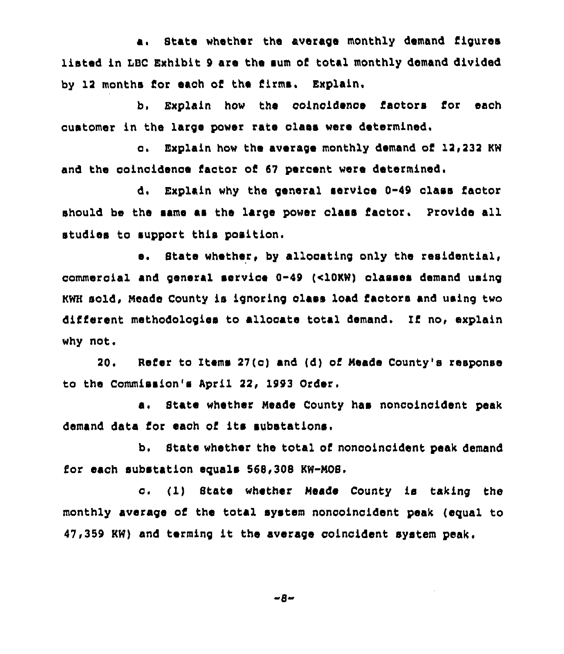a. State whether the average monthly demand figures listed in LBC Exhibit 9 are the sum of total monthly demand divided by 12 months for each of the firms. Explain.

b, Explain how the coincidenoe factors for each quatomer in the large power rate class were determined.

c. Explain how the average monthly demand of 12,232 KW and the coincidence factor of 67 percent were determined.

d. Explain why the general service 0-49 class factor should be the same as the large power class factor. provide all studies to support this position.

e. State whether, by allocating only the residential, commercial and general servioe 0-49 (clOKW) classes demand using KWH sold, Neade County is ignoring class load factors and using two different methodologies to allocate total demand. If no, explain why not,

20. Refer to Items 27(c) and (d) of Meade County's response to the Commission's April 22, 1993 Order,

a. State whether Meade County has noncoincident peak demand data for each of its substations.

b. State whether the total of noncoincident peak demand for each substation equals 568,308 KW-NOS.

c. (1) State whether Meade County is taking the monthly average of the total system noncoinoident peak (equal to 47,359 KW) and terming it the average coincident system peak.

-8-